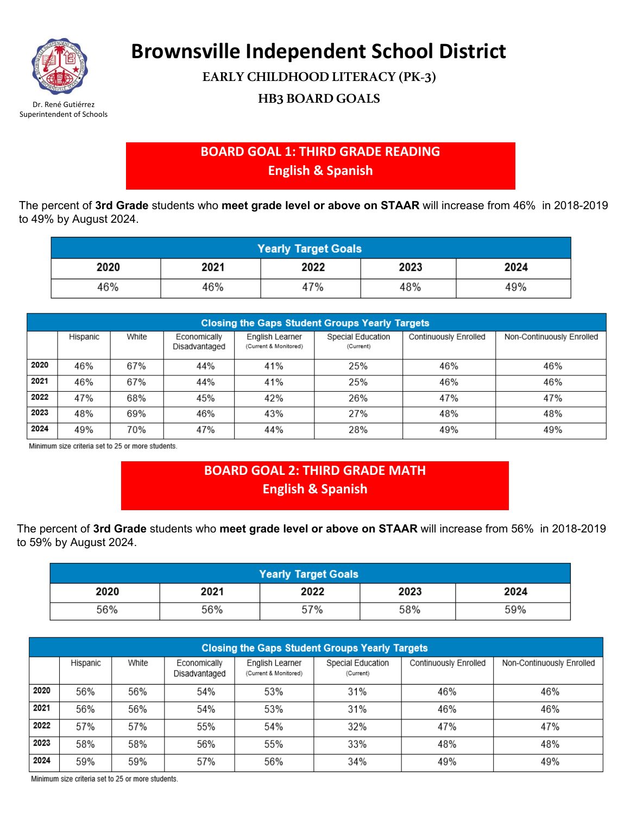

**Brownsville Independent School District**

**EARLY CHILDHOOD LITERACY (PK-3)**

**HB3 BOARD GOALS** Dr. René Gutiérrez

## **BOARD GOAL 1: THIRD GRADE READING English & Spanish**

The percent of **3rd Grade** students who **meet grade level or above on STAAR** will increase from 46% in 2018-2019 to 49% by August 2024.

| <b>Yearly Target Goals</b> |      |      |      |      |  |  |  |
|----------------------------|------|------|------|------|--|--|--|
| 2020                       | 2021 | 2022 | 2023 | 2024 |  |  |  |
| 46%                        | 46%  | 47%  | 48%  | 49%  |  |  |  |

| <b>Closing the Gaps Student Groups Yearly Targets</b> |          |       |                               |                                          |                                |                       |                           |  |  |
|-------------------------------------------------------|----------|-------|-------------------------------|------------------------------------------|--------------------------------|-----------------------|---------------------------|--|--|
|                                                       | Hispanic | White | Economically<br>Disadvantaged | English Learner<br>(Current & Monitored) | Special Education<br>(Current) | Continuously Enrolled | Non-Continuously Enrolled |  |  |
| 2020                                                  | 46%      | 67%   | 44%                           | 41%                                      | 25%                            | 46%                   | 46%                       |  |  |
| 2021                                                  | 46%      | 67%   | 44%                           | 41%                                      | 25%                            | 46%                   | 46%                       |  |  |
| 2022                                                  | 47%      | 68%   | 45%                           | 42%                                      | 26%                            | 47%                   | 47%                       |  |  |
| 2023                                                  | 48%      | 69%   | 46%                           | 43%                                      | 27%                            | 48%                   | 48%                       |  |  |
| 2024                                                  | 49%      | 70%   | 47%                           | 44%                                      | 28%                            | 49%                   | 49%                       |  |  |

Minimum size criteria set to 25 or more students.

## **BOARD GOAL 2: THIRD GRADE MATH English & Spanish**

The percent of **3rd Grade** students who **meet grade level or above on STAAR** will increase from 56% in 2018-2019 to 59% by August 2024.

| <b>Yearly Target Goals</b> |      |      |      |      |  |  |
|----------------------------|------|------|------|------|--|--|
| 2020                       | 2021 | 2022 | 2023 | 2024 |  |  |
| 56%                        | 56%  | 57%  | 58%  | 59%  |  |  |

| <b>Closing the Gaps Student Groups Yearly Targets</b> |          |       |                               |                                          |                                |                       |                           |  |  |  |
|-------------------------------------------------------|----------|-------|-------------------------------|------------------------------------------|--------------------------------|-----------------------|---------------------------|--|--|--|
|                                                       | Hispanic | White | Economically<br>Disadvantaged | English Learner<br>(Current & Monitored) | Special Education<br>(Current) | Continuously Enrolled | Non-Continuously Enrolled |  |  |  |
| 2020                                                  | 56%      | 56%   | 54%                           | 53%                                      | 31%                            | 46%                   | 46%                       |  |  |  |
| 2021                                                  | 56%      | 56%   | 54%                           | 53%                                      | 31%                            | 46%                   | 46%                       |  |  |  |
| 2022                                                  | 57%      | 57%   | 55%                           | 54%                                      | 32%                            | 47%                   | 47%                       |  |  |  |
| 2023                                                  | 58%      | 58%   | 56%                           | 55%                                      | 33%                            | 48%                   | 48%                       |  |  |  |
| 2024                                                  | 59%      | 59%   | 57%                           | 56%                                      | 34%                            | 49%                   | 49%                       |  |  |  |

Minimum size criteria set to 25 or more students.